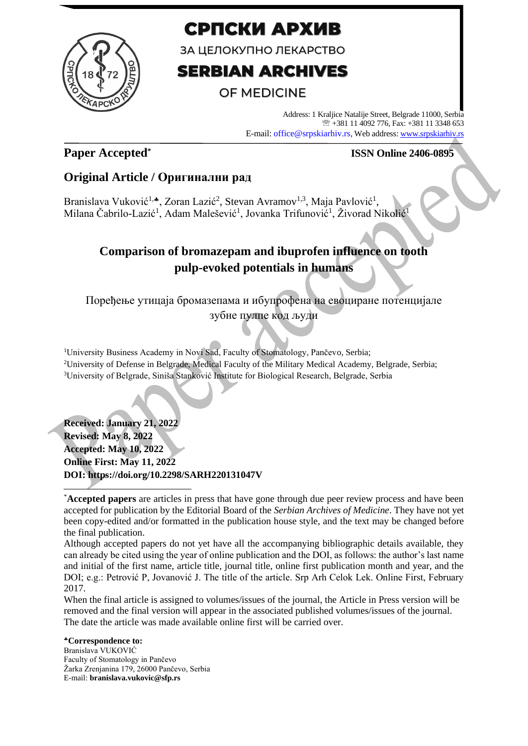

# СРПСКИ АРХИВ

ЗА ЦЕЛОКУПНО ЛЕКАРСТВО

# **SERBIAN ARCHIVES**

### **OF MEDICINE**

Address: 1 Kraljice Natalije Street, Belgrade 11000, Serbia +381 11 4092 776, Fax: +381 11 3348 653 E-mail: office@srpskiarhiv.rs, Web address[: www.srpskiarhiv.rs](http://www.srpskiarhiv.rs/)

### **Paper Accepted\***

### **ISSN Online 2406-0895**

### **Original Article / Оригинални рад**

Branislava Vuković<sup>1,</sup>\*, Zoran Lazić<sup>2</sup>, Stevan Avramov<sup>1,3</sup>, Maja Pavlović<sup>1</sup>, Milana Čabrilo-Lazić<sup>1</sup>, Adam Malešević<sup>1</sup>, Jovanka Trifunović<sup>1</sup>, Živorad Nikolić<sup>1</sup>

### **Comparison of bromazepam and ibuprofen influence on tooth pulp-evoked potentials in humans**

Поређење утицаја бромазепама и ибупрофена на евоциране потенцијале

зубне пулпе код људи

<sup>1</sup>University Business Academy in Novi Sad, Faculty of Stomatology, Pančevo, Serbia; <sup>2</sup>University of Defense in Belgrade, Medical Faculty of the Military Medical Academy, Belgrade, Serbia; <sup>3</sup>University of Belgrade, Siniša Stanković Institute for Biological Research, Belgrade, Serbia

**Received: January 21, 2022 Revised: May 8, 2022 Accepted: May 10, 2022 Online First: May 11, 2022 DOI: https://doi.org/10.2298/SARH220131047V**

Although accepted papers do not yet have all the accompanying bibliographic details available, they can already be cited using the year of online publication and the DOI, as follows: the author's last name and initial of the first name, article title, journal title, online first publication month and year, and the DOI; e.g.: Petrović P, Jovanović J. The title of the article. Srp Arh Celok Lek. Online First, February 2017.

When the final article is assigned to volumes/issues of the journal, the Article in Press version will be removed and the final version will appear in the associated published volumes/issues of the journal. The date the article was made available online first will be carried over.

**Correspondence to:** Branislava VUKOVIĆ Faculty of Stomatology in Pančevo Žarka Zrenjanina 179, 26000 Pančevo, Serbia E-mail: **branislava.vukovic@sfp.rs**

<sup>\*</sup>**Accepted papers** are articles in press that have gone through due peer review process and have been accepted for publication by the Editorial Board of the *Serbian Archives of Medicine*. They have not yet been copy-edited and/or formatted in the publication house style, and the text may be changed before the final publication.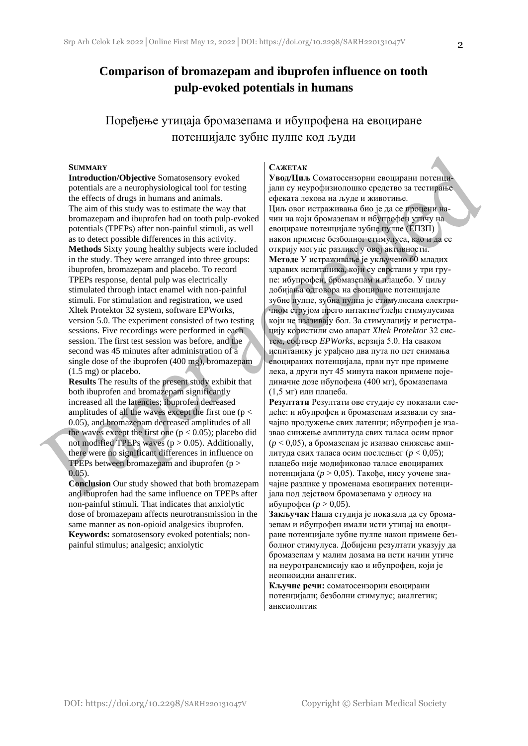### **Comparison of bromazepam and ibuprofen influence on tooth pulp-evoked potentials in humans**

Поређење утицаја бромазепама и ибупрофена на евоциране потенцијале зубне пулпе код људи

#### **SUMMARY**

**Introduction/Objective** Somatosensory evoked potentials are a neurophysiological tool for testing the effects of drugs in humans and animals. The aim of this study was to estimate the way that bromazepam and ibuprofen had on tooth pulp-evoked potentials (TPEPs) after non-painful stimuli, as well as to detect possible differences in this activity. **Methods** Sixty young healthy subjects were included in the study. They were arranged into three groups: ibuprofen, bromazepam and placebo. To record TPEPs response, dental pulp was electrically stimulated through intact enamel with non-painful stimuli. For stimulation and registration, we used Xltek Protektor 32 system, software EPWorks, version 5.0. The experiment consisted of two testing sessions. Five recordings were performed in each session. The first test session was before, and the second was 45 minutes after administration of a single dose of the ibuprofen (400 mg), bromazepam (1.5 mg) or placebo.

**Results** The results of the present study exhibit that both ibuprofen and bromazepam significantly increased all the latencies; ibuprofen decreased amplitudes of all the waves except the first one ( $p <$ 0.05), and bromazepam decreased amplitudes of all the waves except the first one  $(p < 0.05)$ ; placebo did not modified TPEPs waves  $(p > 0.05)$ . Additionally, there were no significant differences in influence on TPEPs between bromazepam and ibuprofen (p > 0.05).

**Conclusion** Our study showed that both bromazepam and ibuprofen had the same influence on TPEPs after non-painful stimuli. That indicates that anxiolytic dose of bromazepam affects neurotransmission in the same manner as non-opioid analgesics ibuprofen. **Keywords:** somatosensory evoked potentials; nonpainful stimulus; analgesic; anxiolytic

#### **САЖЕТАК**

**Увод/Циљ** Соматосензорни евоцирани потенцијали су неурофизиолошко средство за тестирање ефеката лекова на људе и животиње. Циљ овог истраживања био је да се процени начин на који бромазепам и ибупрофен утичу на евоциране потенцијале зубне пулпе (ЕПЗП) након примене безболног стимулуса, као и да се открију могуц́е разлике у овој активности. **Методе** У истраживање је укључено 60 младих здравих испитаника, који су сврстани у три групе: ибупрофен, бромазепам и плацебо. У циљу добијања одговора на евоциране потенцијале зубне пулпе, зубна пулпа је стимулисана електричном струјом прего интактне глеђи стимулусима који не изазивају бол. За стимулацију и регистрацију користили смо апарат *Xltek Protektor* 32 систем, софтвер *EPWorks*, верзија 5.0. На сваком испитанику је урађено два пута по пет снимања евоцираних потенцијала, први пут пре примене лека, а други пут 45 минута након примене појединачне дозе ибупофена (400 мг), бромазепама (1,5 мг) или плацеба.

**Резултати** Резултати ове студије су показали следеће: и ибупрофен и бромазепам изазвали су значајно продужење свих латенци; ибупрофен је изазвао снижење амплитуда свих таласа осим првог (*p* < 0,05), а бромазепам је изазвао снижење амплитуда свих таласа осим последњег (*p* < 0,05); плацебо није модификовао таласе евоцираних потенцијала (*p* > 0,05). Такође, нису уочене значајне разлике у променама евоцираних потенцијала под дејством бромазепама у односу на ибупрофен (*p* > 0,05).

**Закључак** Наша студија је показала да су бромазепам и ибупрофен имали исти утицај на евоциране потенцијале зубне пулпе након примене безболног стимулуса. Добијени резултати указују да бромазепам у малим дозама на исти начин утиче на неуротрансмисију као и ибупрофен, који је неопиоидни аналгетик.

**Кључне речи:** соматосензорни евоцирани потенцијали; безболни стимулус; аналгетик; анксиолитик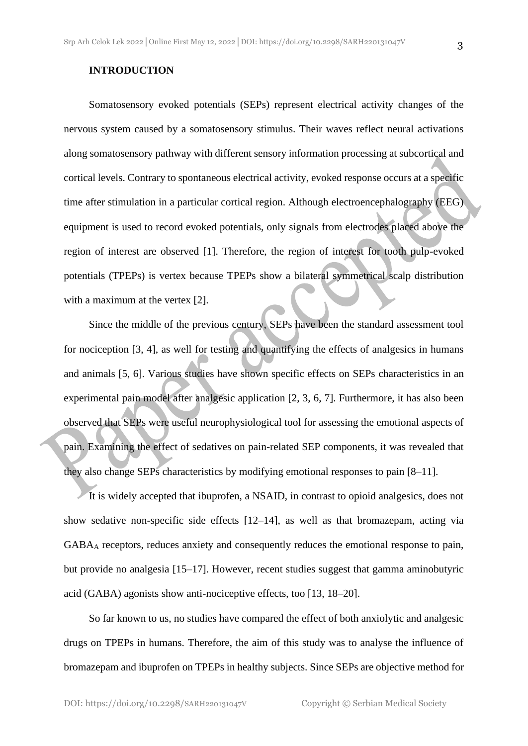#### **INTRODUCTION**

Somatosensory evoked potentials (SEPs) represent electrical activity changes of the nervous system caused by a somatosensory stimulus. Their waves reflect neural activations along somatosensory pathway with different sensory information processing at subcortical and cortical levels. Contrary to spontaneous electrical activity, evoked response occurs at a specific time after stimulation in a particular cortical region. Although electroencephalography (EEG) equipment is used to record evoked potentials, only signals from electrodes placed above the region of interest are observed [1]. Therefore, the region of interest for tooth pulp-evoked potentials (TPEPs) is vertex because TPEPs show a bilateral symmetrical scalp distribution with a maximum at the vertex [2].

Since the middle of the previous century, SEPs have been the standard assessment tool for nociception [3, 4], as well for testing and quantifying the effects of analgesics in humans and animals [5, 6]. Various studies have shown specific effects on SEPs characteristics in an experimental pain model after analgesic application [2, 3, 6, 7]. Furthermore, it has also been observed that SEPs were useful neurophysiological tool for assessing the emotional aspects of pain. Examining the effect of sedatives on pain-related SEP components, it was revealed that they also change SEPs characteristics by modifying emotional responses to pain [8–11].

It is widely accepted that ibuprofen, a NSAID, in contrast to opioid analgesics, does not show sedative non-specific side effects [12–14], as well as that bromazepam, acting via GABA<sup>A</sup> receptors, reduces anxiety and consequently reduces the emotional response to pain, but provide no analgesia [15–17]. However, recent studies suggest that gamma aminobutyric acid (GABA) agonists show anti-nociceptive effects, too [13, 18–20].

So far known to us, no studies have compared the effect of both anxiolytic and analgesic drugs on TPEPs in humans. Therefore, the aim of this study was to analyse the influence of bromazepam and ibuprofen on TPEPs in healthy subjects. Since SEPs are objective method for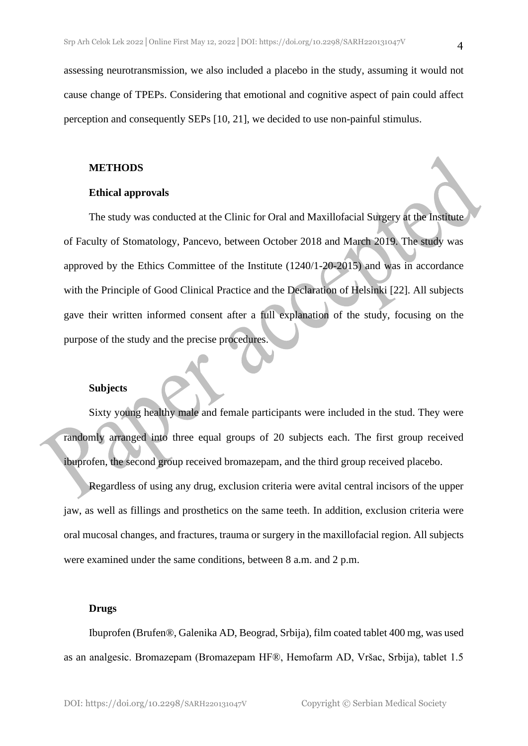assessing neurotransmission, we also included a placebo in the study, assuming it would not cause change of TPEPs. Considering that emotional and cognitive aspect of pain could affect perception and consequently SEPs [10, 21], we decided to use non-painful stimulus.

#### **METHODS**

#### **Ethical approvals**

The study was conducted at the Clinic for Oral and Maxillofacial Surgery at the Institute of Faculty of Stomatology, Pancevo, between October 2018 and March 2019. The study was approved by the Ethics Committee of the Institute (1240/1-20-2015) and was in accordance with the Principle of Good Clinical Practice and the Declaration of Helsinki [22]. All subjects gave their written informed consent after a full explanation of the study, focusing on the purpose of the study and the precise procedures.

#### **Subjects**

Sixty young healthy male and female participants were included in the stud. They were randomly arranged into three equal groups of 20 subjects each. The first group received ibuprofen, the second group received bromazepam, and the third group received placebo.

Regardless of using any drug, exclusion criteria were avital central incisors of the upper jaw, as well as fillings and prosthetics on the same teeth. In addition, exclusion criteria were oral mucosal changes, and fractures, trauma or surgery in the maxillofacial region. All subjects were examined under the same conditions, between 8 a.m. and 2 p.m.

#### **Drugs**

Ibuprofen (Brufen®, Galenika AD, Beograd, Srbija), film coated tablet 400 mg, was used as an analgesic. Bromazepam (Bromazepam HF®, Hemofarm AD, Vršac, Srbija), tablet 1.5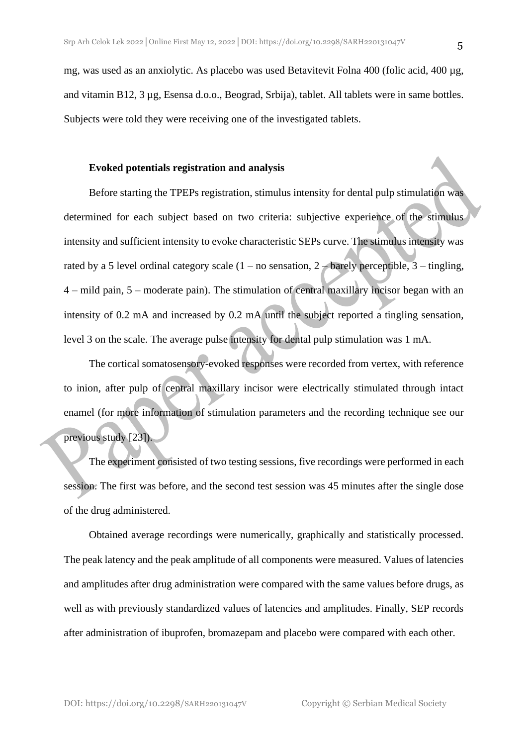mg, was used as an anxiolytic. As placebo was used Betavitevit Folna 400 (folic acid, 400 µg, and vitamin B12, 3 µg, Esensa d.o.o., Beograd, Srbija), tablet. All tablets were in same bottles. Subjects were told they were receiving one of the investigated tablets.

#### **Evoked potentials registration and analysis**

Before starting the TPEPs registration, stimulus intensity for dental pulp stimulation was determined for each subject based on two criteria: subjective experience of the stimulus intensity and sufficient intensity to evoke characteristic SEPs curve. The stimulus intensity was rated by a 5 level ordinal category scale  $(1 - no$  sensation,  $2 -$  barely perceptible,  $3 -$  tingling, 4 – mild pain, 5 – moderate pain). The stimulation of central maxillary incisor began with an intensity of 0.2 mA and increased by 0.2 mA until the subject reported a tingling sensation, level 3 on the scale. The average pulse intensity for dental pulp stimulation was 1 mA.

The cortical somatosensory-evoked responses were recorded from vertex, with reference to inion, after pulp of central maxillary incisor were electrically stimulated through intact enamel (for more information of stimulation parameters and the recording technique see our previous study [23]).

The experiment consisted of two testing sessions, five recordings were performed in each session. The first was before, and the second test session was 45 minutes after the single dose of the drug administered.

Obtained average recordings were numerically, graphically and statistically processed. The peak latency and the peak amplitude of all components were measured. Values of latencies and amplitudes after drug administration were compared with the same values before drugs, as well as with previously standardized values of latencies and amplitudes. Finally, SEP records after administration of ibuprofen, bromazepam and placebo were compared with each other.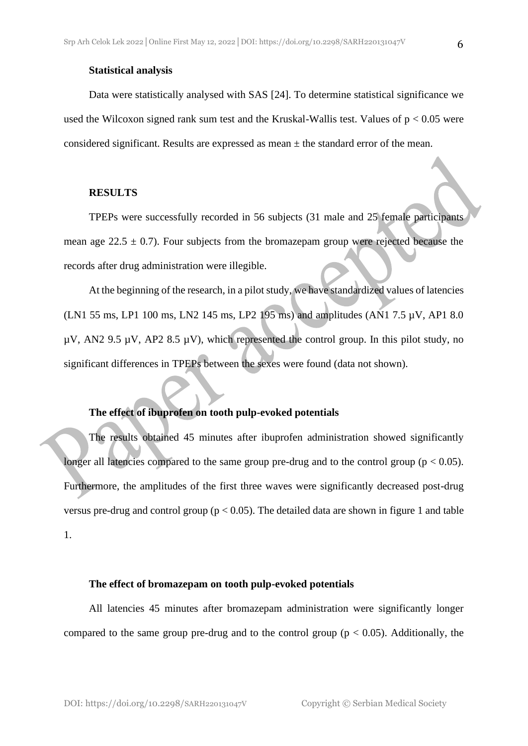#### **Statistical analysis**

Data were statistically analysed with SAS [24]. To determine statistical significance we used the Wilcoxon signed rank sum test and the Kruskal-Wallis test. Values of  $p < 0.05$  were considered significant. Results are expressed as mean  $\pm$  the standard error of the mean.

#### **RESULTS**

TPEPs were successfully recorded in 56 subjects (31 male and 25 female participants mean age  $22.5 \pm 0.7$ ). Four subjects from the bromazepam group were rejected because the records after drug administration were illegible.

At the beginning of the research, in a pilot study, we have standardized values of latencies (LN1 55 ms, LP1 100 ms, LN2 145 ms, LP2 195 ms) and amplitudes (AN1 7.5 µV, AP1 8.0  $\mu$ V, AN2 9.5  $\mu$ V, AP2 8.5  $\mu$ V), which represented the control group. In this pilot study, no significant differences in TPEPs between the sexes were found (data not shown).

#### **The effect of ibuprofen on tooth pulp-evoked potentials**

The results obtained 45 minutes after ibuprofen administration showed significantly longer all latencies compared to the same group pre-drug and to the control group ( $p < 0.05$ ). Furthermore, the amplitudes of the first three waves were significantly decreased post-drug versus pre-drug and control group ( $p < 0.05$ ). The detailed data are shown in figure 1 and table 1.

#### **The effect of bromazepam on tooth pulp-evoked potentials**

All latencies 45 minutes after bromazepam administration were significantly longer compared to the same group pre-drug and to the control group ( $p < 0.05$ ). Additionally, the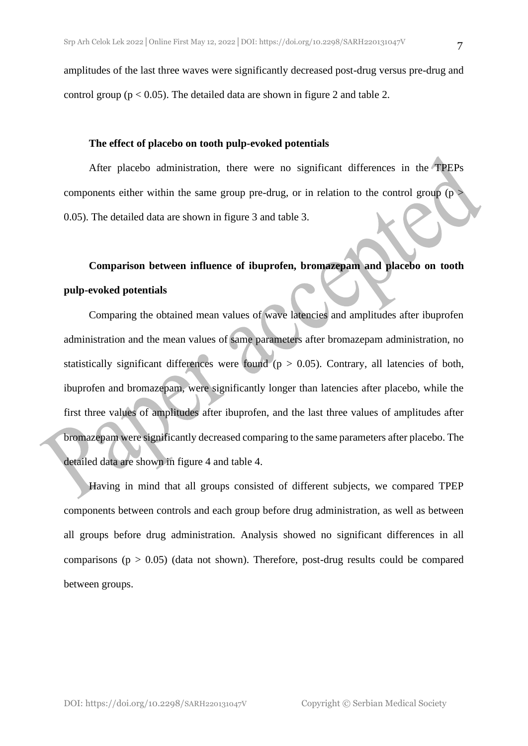amplitudes of the last three waves were significantly decreased post-drug versus pre-drug and control group ( $p < 0.05$ ). The detailed data are shown in figure 2 and table 2.

#### **The effect of placebo on tooth pulp-evoked potentials**

After placebo administration, there were no significant differences in the TPEPs components either within the same group pre-drug, or in relation to the control group ( $p >$ 0.05). The detailed data are shown in figure 3 and table 3.

## **Comparison between influence of ibuprofen, bromazepam and placebo on tooth pulp-evoked potentials**

Comparing the obtained mean values of wave latencies and amplitudes after ibuprofen administration and the mean values of same parameters after bromazepam administration, no statistically significant differences were found ( $p > 0.05$ ). Contrary, all latencies of both, ibuprofen and bromazepam, were significantly longer than latencies after placebo, while the first three values of amplitudes after ibuprofen, and the last three values of amplitudes after bromazepam were significantly decreased comparing to the same parameters after placebo. The detailed data are shown in figure 4 and table 4.

Having in mind that all groups consisted of different subjects, we compared TPEP components between controls and each group before drug administration, as well as between all groups before drug administration. Analysis showed no significant differences in all comparisons ( $p > 0.05$ ) (data not shown). Therefore, post-drug results could be compared between groups.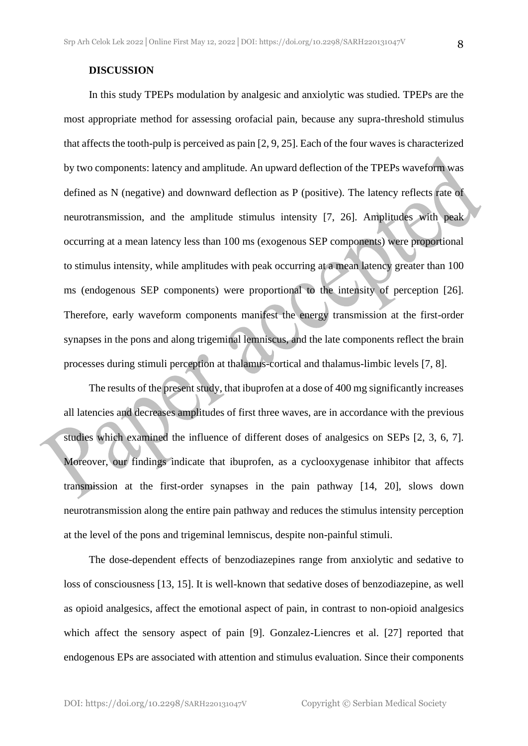#### **DISCUSSION**

In this study TPEPs modulation by analgesic and anxiolytic was studied. TPEPs are the most appropriate method for assessing orofacial pain, because any supra-threshold stimulus that affects the tooth-pulp is perceived as pain [2, 9, 25]. Each of the four waves is characterized by two components: latency and amplitude. An upward deflection of the TPEPs waveform was defined as N (negative) and downward deflection as P (positive). The latency reflects rate of neurotransmission, and the amplitude stimulus intensity [7, 26]. Amplitudes with peak occurring at a mean latency less than 100 ms (exogenous SEP components) were proportional to stimulus intensity, while amplitudes with peak occurring at a mean latency greater than 100 ms (endogenous SEP components) were proportional to the intensity of perception [26]. Therefore, early waveform components manifest the energy transmission at the first-order synapses in the pons and along trigeminal lemniscus, and the late components reflect the brain processes during stimuli perception at thalamus-cortical and thalamus-limbic levels [7, 8].

The results of the present study, that ibuprofen at a dose of 400 mg significantly increases all latencies and decreases amplitudes of first three waves, are in accordance with the previous studies which examined the influence of different doses of analgesics on SEPs [2, 3, 6, 7]. Moreover, our findings indicate that ibuprofen, as a cyclooxygenase inhibitor that affects transmission at the first-order synapses in the pain pathway [14, 20], slows down neurotransmission along the entire pain pathway and reduces the stimulus intensity perception at the level of the pons and trigeminal lemniscus, despite non-painful stimuli.

The dose-dependent effects of benzodiazepines range from anxiolytic and sedative to loss of consciousness [13, 15]. It is well-known that sedative doses of benzodiazepine, as well as opioid analgesics, affect the emotional aspect of pain, in contrast to non-opioid analgesics which affect the sensory aspect of pain [9]. Gonzalez-Liencres et al. [27] reported that endogenous EPs are associated with attention and stimulus evaluation. Since their components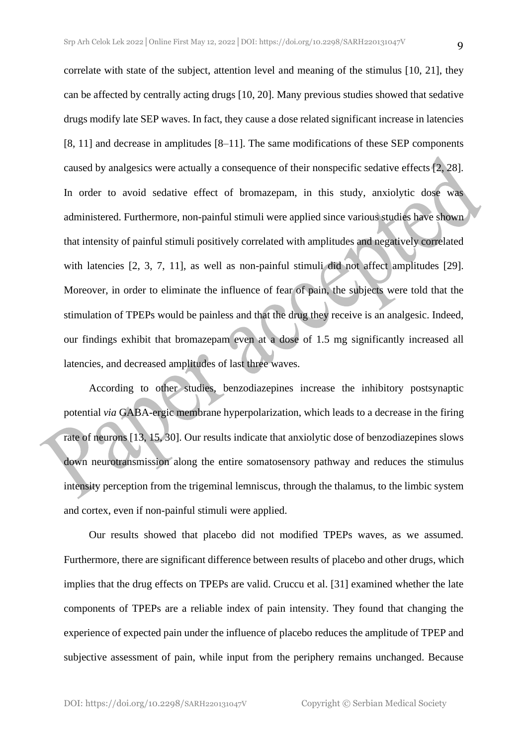correlate with state of the subject, attention level and meaning of the stimulus [10, 21], they can be affected by centrally acting drugs [10, 20]. Many previous studies showed that sedative drugs modify late SEP waves. In fact, they cause a dose related significant increase in latencies [8, 11] and decrease in amplitudes [8–11]. The same modifications of these SEP components caused by analgesics were actually a consequence of their nonspecific sedative effects [2, 28]. In order to avoid sedative effect of bromazepam, in this study, anxiolytic dose was administered. Furthermore, non-painful stimuli were applied since various studies have shown that intensity of painful stimuli positively correlated with amplitudes and negatively correlated with latencies [2, 3, 7, 11], as well as non-painful stimuli did not affect amplitudes [29]. Moreover, in order to eliminate the influence of fear of pain, the subjects were told that the stimulation of TPEPs would be painless and that the drug they receive is an analgesic. Indeed, our findings exhibit that bromazepam even at a dose of 1.5 mg significantly increased all latencies, and decreased amplitudes of last three waves.

According to other studies, benzodiazepines increase the inhibitory postsynaptic potential *via* GABA-ergic membrane hyperpolarization, which leads to a decrease in the firing rate of neurons [13, 15, 30]. Our results indicate that anxiolytic dose of benzodiazepines slows down neurotransmission along the entire somatosensory pathway and reduces the stimulus intensity perception from the trigeminal lemniscus, through the thalamus, to the limbic system and cortex, even if non-painful stimuli were applied.

Our results showed that placebo did not modified TPEPs waves, as we assumed. Furthermore, there are significant difference between results of placebo and other drugs, which implies that the drug effects on TPEPs are valid. Cruccu et al. [31] examined whether the late components of TPEPs are a reliable index of pain intensity. They found that changing the experience of expected pain under the influence of placebo reduces the amplitude of TPEP and subjective assessment of pain, while input from the periphery remains unchanged. Because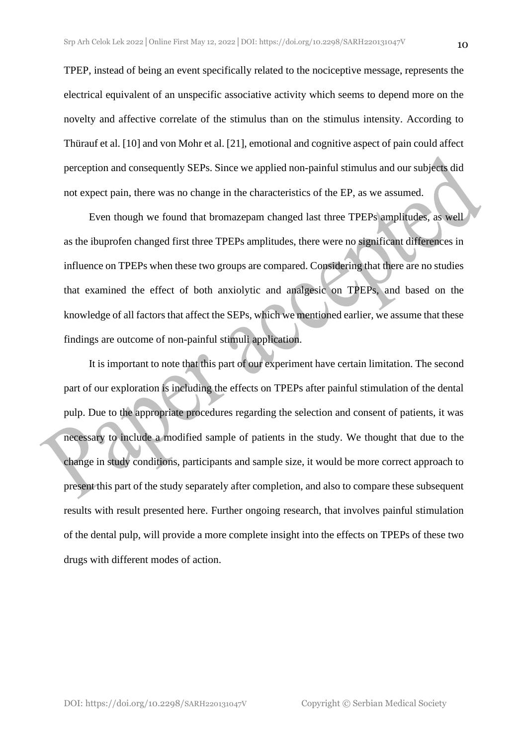electrical equivalent of an unspecific associative activity which seems to depend more on the novelty and affective correlate of the stimulus than on the stimulus intensity. According to Thürauf et al. [10] and von Mohr et al. [21], emotional and cognitive aspect of pain could affect perception and consequently SEPs. Since we applied non-painful stimulus and our subjects did not expect pain, there was no change in the characteristics of the EP, as we assumed.

Even though we found that bromazepam changed last three TPEPs amplitudes, as well as the ibuprofen changed first three TPEPs amplitudes, there were no significant differences in influence on TPEPs when these two groups are compared. Considering that there are no studies that examined the effect of both anxiolytic and analgesic on TPEPs, and based on the knowledge of all factors that affect the SEPs, which we mentioned earlier, we assume that these findings are outcome of non-painful stimuli application.

It is important to note that this part of our experiment have certain limitation. The second part of our exploration is including the effects on TPEPs after painful stimulation of the dental pulp. Due to the appropriate procedures regarding the selection and consent of patients, it was necessary to include a modified sample of patients in the study. We thought that due to the change in study conditions, participants and sample size, it would be more correct approach to present this part of the study separately after completion, and also to compare these subsequent results with result presented here. Further ongoing research, that involves painful stimulation of the dental pulp, will provide a more complete insight into the effects on TPEPs of these two drugs with different modes of action.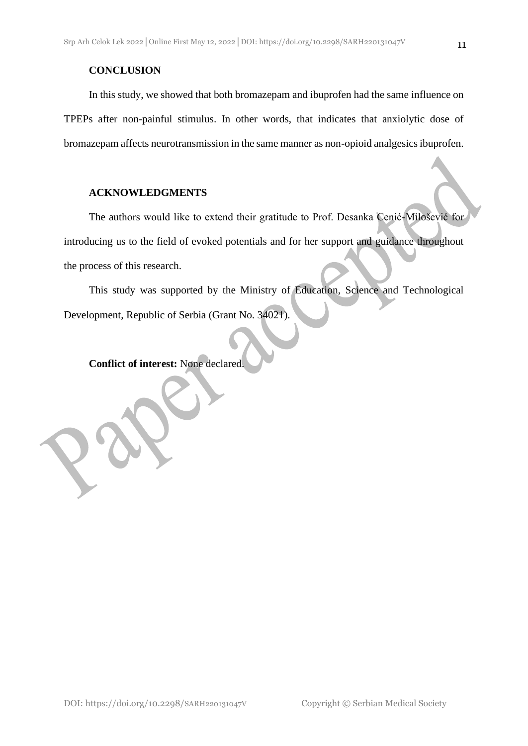#### **CONCLUSION**

In this study, we showed that both bromazepam and ibuprofen had the same influence on TPEPs after non-painful stimulus. In other words, that indicates that anxiolytic dose of bromazepam affects neurotransmission in the same manner as non-opioid analgesics ibuprofen.

#### **ACKNOWLEDGMENTS**

The authors would like to extend their gratitude to Prof. Desanka Cenić-Milošević for introducing us to the field of evoked potentials and for her support and guidance throughout the process of this research.

This study was supported by the Ministry of Education, Science and Technological Development, Republic of Serbia (Grant No. 34021).

**Conflict of interest:** None declared.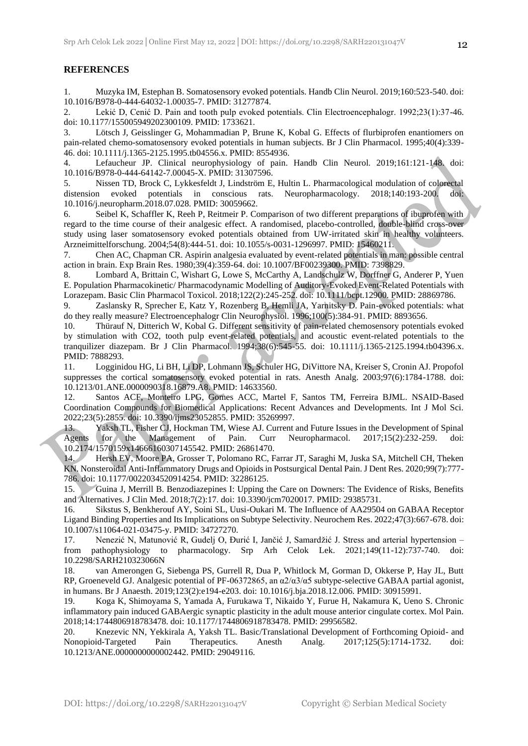#### **REFERENCES**

1. Muzyka IM, Estephan B. Somatosensory evoked potentials. Handb Clin Neurol. 2019;160:523-540. doi: 10.1016/B978-0-444-64032-1.00035-7. PMID: 31277874.

2. Lekić D, Cenić D. Pain and tooth pulp evoked potentials. Clin Electroencephalogr. 1992;23(1):37-46. doi: 10.1177/155005949202300109. PMID: 1733621.

3. Lötsch J, Geisslinger G, Mohammadian P, Brune K, Kobal G. Effects of flurbiprofen enantiomers on pain-related chemo-somatosensory evoked potentials in human subjects. Br J Clin Pharmacol. 1995;40(4):339- 46. doi: 10.1111/j.1365-2125.1995.tb04556.x. PMID: 8554936.

4. Lefaucheur JP. Clinical neurophysiology of pain. Handb Clin Neurol. 2019;161:121-148. doi: 10.1016/B978-0-444-64142-7.00045-X. PMID: 31307596.

5. Nissen TD, Brock C, Lykkesfeldt J, Lindström E, Hultin L. Pharmacological modulation of colorectal distension evoked potentials in conscious rats. Neuropharmacology. 2018;140:193-200. doi: 10.1016/j.neuropharm.2018.07.028. PMID: 30059662.

6. Seibel K, Schaffler K, Reeh P, Reitmeir P. Comparison of two different preparations of ibuprofen with regard to the time course of their analgesic effect. A randomised, placebo-controlled, double-blind cross-over study using laser somatosensory evoked potentials obtained from UW-irritated skin in healthy volunteers. Arzneimittelforschung. 2004;54(8):444-51. doi: 10.1055/s-0031-1296997. PMID: 15460211.

7. Chen AC, Chapman CR. Aspirin analgesia evaluated by event-related potentials in man: possible central action in brain. Exp Brain Res. 1980;39(4):359-64. doi: 10.1007/BF00239300. PMID: 7398829.

8. Lombard A, Brittain C, Wishart G, Lowe S, McCarthy A, Landschulz W, Dorffner G, Anderer P, Yuen E. Population Pharmacokinetic/ Pharmacodynamic Modelling of Auditory-Evoked Event-Related Potentials with Lorazepam. Basic Clin Pharmacol Toxicol. 2018;122(2):245-252. doi: 10.1111/bcpt.12900. PMID: 28869786.

9. Zaslansky R, Sprecher E, Katz Y, Rozenberg B, Hemli JA, Yarnitsky D. Pain-evoked potentials: what do they really measure? Electroencephalogr Clin Neurophysiol. 1996;100(5):384-91. PMID: 8893656.

10. Thürauf N, Ditterich W, Kobal G. Different sensitivity of pain-related chemosensory potentials evoked by stimulation with CO2, tooth pulp event-related potentials, and acoustic event-related potentials to the tranquilizer diazepam. Br J Clin Pharmacol. 1994;38(6):545-55. doi: 10.1111/j.1365-2125.1994.tb04396.x. PMID: 7888293.

11. Logginidou HG, Li BH, Li DP, Lohmann JS, Schuler HG, DiVittore NA, Kreiser S, Cronin AJ. Propofol suppresses the cortical somatosensory evoked potential in rats. Anesth Analg. 2003;97(6):1784-1788. doi: 10.1213/01.ANE.0000090318.16879.A8. PMID: 14633560.

12. Santos ACF, Monteiro LPG, Gomes ACC, Martel F, Santos TM, Ferreira BJML. NSAID-Based Coordination Compounds for Biomedical Applications: Recent Advances and Developments. Int J Mol Sci. 2022;23(5):2855. doi: 10.3390/ijms23052855. PMID: 35269997.

13. Yaksh TL, Fisher CJ, Hockman TM, Wiese AJ. Current and Future Issues in the Development of Spinal Agents for the Management of Pain. Curr Neuropharmacol. 2017;15(2):232-259. doi: 10.2174/1570159x14666160307145542. PMID: 26861470.

14. Hersh EV, Moore PA, Grosser T, Polomano RC, Farrar JT, Saraghi M, Juska SA, Mitchell CH, Theken KN. Nonsteroidal Anti-Inflammatory Drugs and Opioids in Postsurgical Dental Pain. J Dent Res. 2020;99(7):777- 786. doi: 10.1177/0022034520914254. PMID: 32286125.

15. Guina J, Merrill B. Benzodiazepines I: Upping the Care on Downers: The Evidence of Risks, Benefits and Alternatives. J Clin Med. 2018;7(2):17. doi: 10.3390/jcm7020017. PMID: 29385731.

16. Sikstus S, Benkherouf AY, Soini SL, Uusi-Oukari M. The Influence of AA29504 on GABAA Receptor Ligand Binding Properties and Its Implications on Subtype Selectivity. Neurochem Res. 2022;47(3):667-678. doi: 10.1007/s11064-021-03475-y. PMID: 34727270.

17. Nenezić N, Matunović R, Gudelj O, Đurić I, Jančić J, Samardžić J. Stress and arterial hypertension – from pathophysiology to pharmacology. Srp Arh Celok Lek. 2021;149(11-12):737-740. doi: 10.2298/SARH210323066N

18. van Amerongen G, Siebenga PS, Gurrell R, Dua P, Whitlock M, Gorman D, Okkerse P, Hay JL, Butt RP, Groeneveld GJ. Analgesic potential of PF-06372865, an α2/α3/α5 subtype-selective GABAA partial agonist, in humans. Br J Anaesth. 2019;123(2):e194-e203. doi: 10.1016/j.bja.2018.12.006. PMID: 30915991.

19. Koga K, Shimoyama S, Yamada A, Furukawa T, Nikaido Y, Furue H, Nakamura K, Ueno S. Chronic inflammatory pain induced GABAergic synaptic plasticity in the adult mouse anterior cingulate cortex. Mol Pain. 2018;14:1744806918783478. doi: 10.1177/1744806918783478. PMID: 29956582.

20. Knezevic NN, Yekkirala A, Yaksh TL. Basic/Translational Development of Forthcoming Opioid- and Nonopioid-Targeted Pain Therapeutics. Anesth Analg. 2017;125(5):1714-1732. doi: 10.1213/ANE.0000000000002442. PMID: 29049116.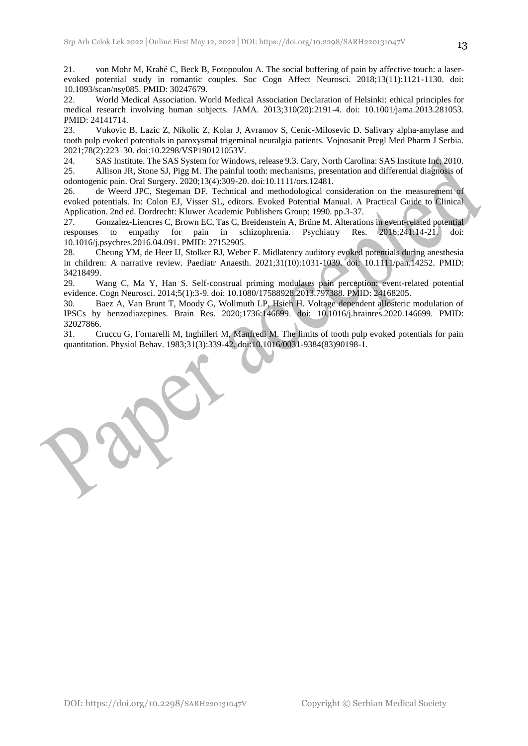21. von Mohr M, Krahé C, Beck B, Fotopoulou A. The social buffering of pain by affective touch: a laserevoked potential study in romantic couples. Soc Cogn Affect Neurosci. 2018;13(11):1121-1130. doi: 10.1093/scan/nsy085. PMID: 30247679.

22. World Medical Association. World Medical Association Declaration of Helsinki: ethical principles for medical research involving human subjects. JAMA. 2013;310(20):2191-4. doi: 10.1001/jama.2013.281053. PMID: 24141714.

23. Vukovic B, Lazic Z, Nikolic Z, Kolar J, Avramov S, Cenic-Milosevic D. Salivary alpha-amylase and tooth pulp evoked potentials in paroxysmal trigeminal neuralgia patients. Vojnosanit Pregl Med Pharm J Serbia. 2021;78(2):223–30. doi:10.2298/VSP190121053V.

24. SAS Institute. The SAS System for Windows, release 9.3. Cary, North Carolina: SAS Institute Inc; 2010. 25. Allison JR, Stone SJ, Pigg M. The painful tooth: mechanisms, presentation and differential diagnosis of odontogenic pain. Oral Surgery. 2020;13(4):309-20. doi:10.1111/ors.12481.

26. de Weerd JPC, Stegeman DF. Technical and methodological consideration on the measurement of evoked potentials. In: Colon EJ, Visser SL, editors. Evoked Potential Manual. A Practical Guide to Clinical Application. 2nd ed. Dordrecht: Kluwer Academic Publishers Group; 1990. pp.3-37.

27. Gonzalez-Liencres C, Brown EC, Tas C, Breidenstein A, Brüne M. Alterations in event-related potential responses to empathy for pain in schizophrenia. Psychiatry Res. 2016;241:14-21. doi: 10.1016/j.psychres.2016.04.091. PMID: 27152905.

28. Cheung YM, de Heer IJ, Stolker RJ, Weber F. Midlatency auditory evoked potentials during anesthesia in children: A narrative review. Paediatr Anaesth. 2021;31(10):1031-1039. doi: 10.1111/pan.14252. PMID: 34218499.

29. Wang C, Ma Y, Han S. Self-construal priming modulates pain perception: event-related potential evidence. Cogn Neurosci. 2014;5(1):3-9. doi: 10.1080/17588928.2013.797388. PMID: 24168205.

30. Baez A, Van Brunt T, Moody G, Wollmuth LP, Hsieh H. Voltage dependent allosteric modulation of IPSCs by benzodiazepines. Brain Res. 2020;1736:146699. doi: 10.1016/j.brainres.2020.146699. PMID: 32027866.

31. Cruccu G, Fornarelli M, Inghilleri M, Manfredi M. The limits of tooth pulp evoked potentials for pain quantitation. Physiol Behav. 1983;31(3):339-42. doi:10.1016/0031-9384(83)90198-1.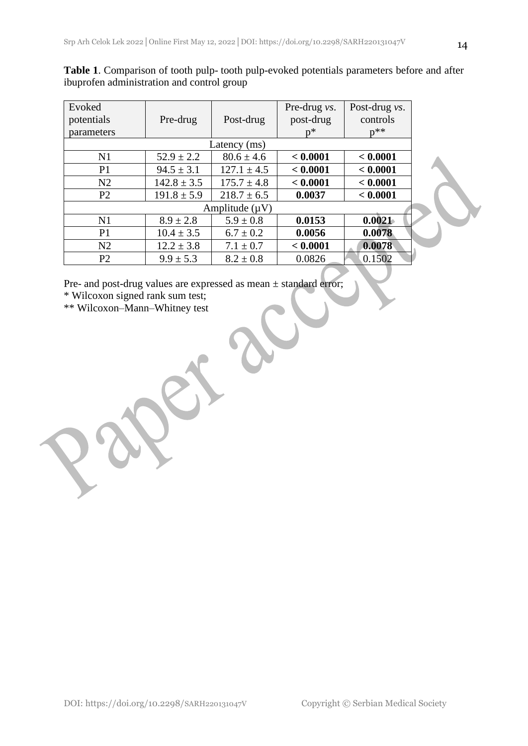| Evoked<br>potentials | Pre-drug        | Post-drug       | Pre-drug vs.<br>post-drug | Post-drug <i>vs</i> .<br>controls<br>$n^{**}$ |  |
|----------------------|-----------------|-----------------|---------------------------|-----------------------------------------------|--|
| parameters           |                 |                 | $n^*$                     |                                               |  |
| Latency (ms)         |                 |                 |                           |                                               |  |
| N <sub>1</sub>       | $52.9 \pm 2.2$  | $80.6 \pm 4.6$  | < 0.0001                  | < 0.0001                                      |  |
| P <sub>1</sub>       | $94.5 \pm 3.1$  | $127.1 \pm 4.5$ | < 0.0001                  | < 0.0001                                      |  |
| N2                   | $142.8 \pm 3.5$ | $175.7 \pm 4.8$ | < 0.0001                  | < 0.0001                                      |  |
| P <sub>2</sub>       | $191.8 \pm 5.9$ | $218.7 \pm 6.5$ | 0.0037                    | < 0.0001                                      |  |
| Amplitude $(\mu V)$  |                 |                 |                           |                                               |  |
| N <sub>1</sub>       | $8.9 \pm 2.8$   | $5.9 \pm 0.8$   | 0.0153                    | 0.0021                                        |  |
| P <sub>1</sub>       | $10.4 \pm 3.5$  | $6.7 \pm 0.2$   | 0.0056                    | 0.0078                                        |  |
| N2                   | $12.2 \pm 3.8$  | $7.1 \pm 0.7$   | < 0.0001                  | 0.0078                                        |  |
| P <sub>2</sub>       | $9.9 \pm 5.3$   | $8.2 \pm 0.8$   | 0.0826                    | 0.1502                                        |  |

**Table 1**. Comparison of tooth pulp- tooth pulp-evoked potentials parameters before and after ibuprofen administration and control group

Pre- and post-drug values are expressed as mean ± standard error;

\* Wilcoxon signed rank sum test;

\*\* Wilcoxon–Mann–Whitney test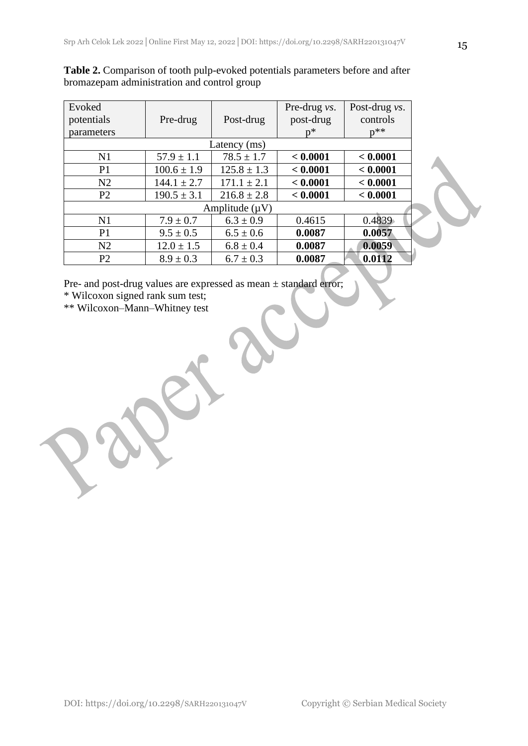| Evoked<br>potentials | Pre-drug        | Post-drug       | Pre-drug vs.<br>post-drug | Post-drug <i>vs</i> .<br>controls |  |
|----------------------|-----------------|-----------------|---------------------------|-----------------------------------|--|
| parameters           |                 |                 | $n^*$                     | $p^{**}$                          |  |
| Latency (ms)         |                 |                 |                           |                                   |  |
| N <sub>1</sub>       | $57.9 \pm 1.1$  | $78.5 \pm 1.7$  | < 0.0001                  | < 0.0001                          |  |
| P <sub>1</sub>       | $100.6 \pm 1.9$ | $125.8 \pm 1.3$ | < 0.0001                  | < 0.0001                          |  |
| N2                   | $144.1 \pm 2.7$ | $171.1 \pm 2.1$ | < 0.0001                  | < 0.0001                          |  |
| P <sub>2</sub>       | $190.5 \pm 3.1$ | $216.8 \pm 2.8$ | < 0.0001                  | < 0.0001                          |  |
| Amplitude $(\mu V)$  |                 |                 |                           |                                   |  |
| N <sub>1</sub>       | $7.9 \pm 0.7$   | $6.3 \pm 0.9$   | 0.4615                    | 0.4839                            |  |
| P <sub>1</sub>       | $9.5 \pm 0.5$   | $6.5 \pm 0.6$   | 0.0087                    | 0.0057                            |  |
| N2                   | $12.0 \pm 1.5$  | $6.8 \pm 0.4$   | 0.0087                    | 0.0059                            |  |
| P <sub>2</sub>       | $8.9 \pm 0.3$   | $6.7 \pm 0.3$   | 0.0087                    | 0.0112                            |  |

**Table 2.** Comparison of tooth pulp-evoked potentials parameters before and after bromazepam administration and control group

Pre- and post-drug values are expressed as mean ± standard error;

\* Wilcoxon signed rank sum test;

\*\* Wilcoxon–Mann–Whitney test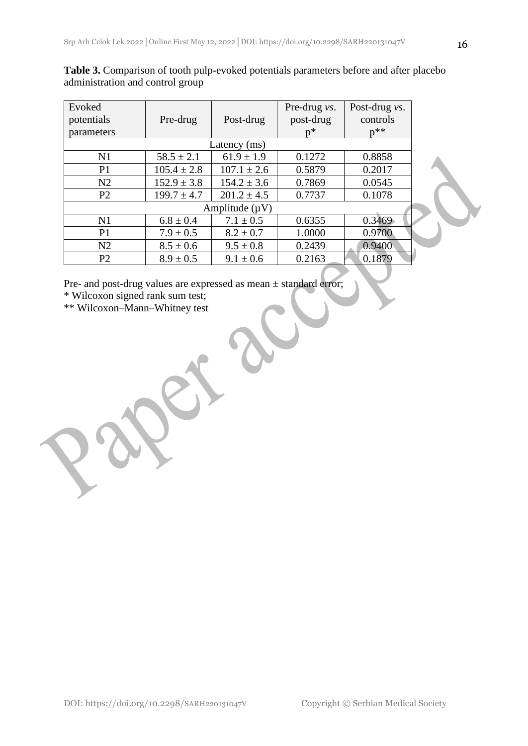| Evoked<br>potentials<br>parameters | Pre-drug        | Post-drug       | Pre-drug vs.<br>post-drug<br>n* | Post-drug <i>vs</i> .<br>controls<br>$p^{**}$ |
|------------------------------------|-----------------|-----------------|---------------------------------|-----------------------------------------------|
| Latency (ms)                       |                 |                 |                                 |                                               |
| N1                                 | $58.5 \pm 2.1$  | $61.9 \pm 1.9$  | 0.1272                          | 0.8858                                        |
| P <sub>1</sub>                     | $105.4 \pm 2.8$ | $107.1 \pm 2.6$ | 0.5879                          | 0.2017                                        |
| N <sub>2</sub>                     | $152.9 \pm 3.8$ | $154.2 \pm 3.6$ | 0.7869                          | 0.0545                                        |
| P <sub>2</sub>                     | $199.7 \pm 4.7$ | $201.2 \pm 4.5$ | 0.7737                          | 0.1078                                        |
| Amplitude $(\mu V)$                |                 |                 |                                 |                                               |
| N <sub>1</sub>                     | $6.8 \pm 0.4$   | $7.1 \pm 0.5$   | 0.6355                          | 0.3469                                        |
| P <sub>1</sub>                     | $7.9 \pm 0.5$   | $8.2 \pm 0.7$   | 1.0000                          | 0.9700                                        |
| N2                                 | $8.5 \pm 0.6$   | $9.5 \pm 0.8$   | 0.2439                          | 0.9400                                        |
| P <sub>2</sub>                     | $8.9 \pm 0.5$   | $9.1 \pm 0.6$   | 0.2163                          | 0.1879                                        |

**Table 3.** Comparison of tooth pulp-evoked potentials parameters before and after placebo administration and control group

Pre- and post-drug values are expressed as mean ± standard error;

\* Wilcoxon signed rank sum test;

\*\* Wilcoxon–Mann–Whitney test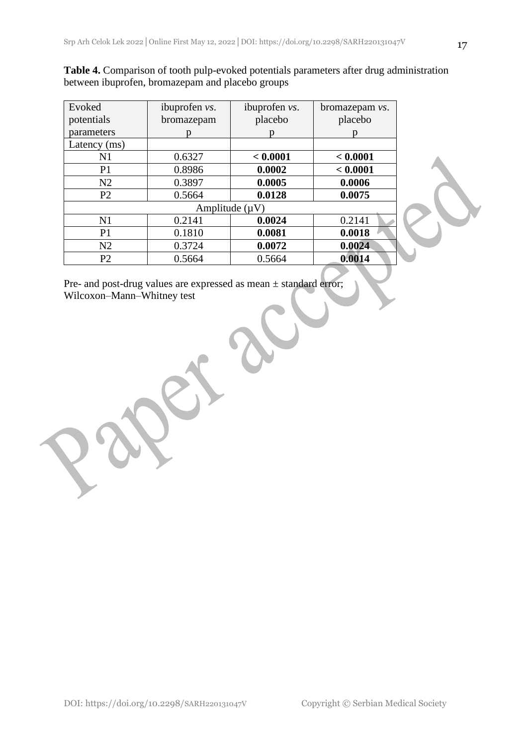| <b>Table 4.</b> Comparison of tooth pulp-evoked potentials parameters after drug administration |
|-------------------------------------------------------------------------------------------------|
| between ibuprofen, bromazepam and placebo groups                                                |

| ibuprofen <i>vs</i> . | ibuprofen vs. | bromazepam <i>vs</i> . |  |  |  |
|-----------------------|---------------|------------------------|--|--|--|
| bromazepam            | placebo       | placebo                |  |  |  |
|                       |               |                        |  |  |  |
|                       |               |                        |  |  |  |
| 0.6327                | < 0.0001      | < 0.0001               |  |  |  |
| 0.8986                | 0.0002        | < 0.0001               |  |  |  |
| 0.3897                | 0.0005        | 0.0006                 |  |  |  |
| 0.5664                | 0.0128        | 0.0075                 |  |  |  |
| Amplitude $(\mu V)$   |               |                        |  |  |  |
| 0.2141                | 0.0024        | 0.2141                 |  |  |  |
| 0.1810                | 0.0081        | 0.0018                 |  |  |  |
| 0.3724                | 0.0072        | 0.0024                 |  |  |  |
| 0.5664                | 0.5664        | 0.0014                 |  |  |  |
|                       |               |                        |  |  |  |

Pre- and post-drug values are expressed as mean ± standard error; Wilcoxon–Mann–Whitney test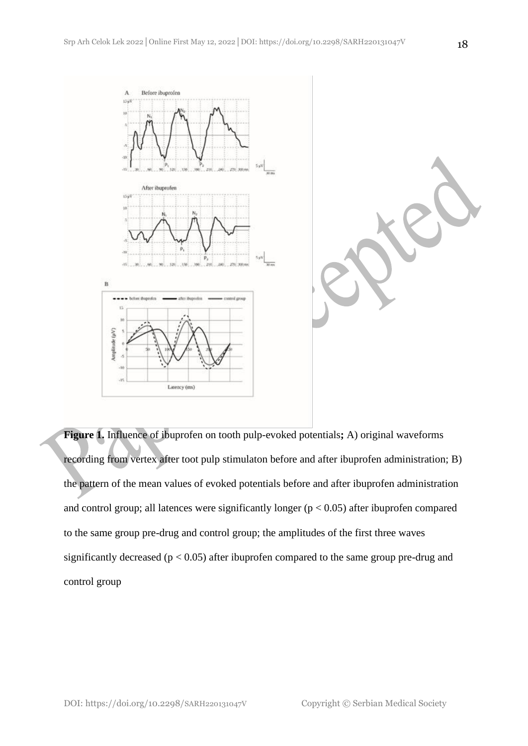

**Figure 1.** Influence of ibuprofen on tooth pulp-evoked potentials**;** A) original waveforms recording from vertex after toot pulp stimulaton before and after ibuprofen administration; B) the pattern of the mean values of evoked potentials before and after ibuprofen administration and control group; all latences were significantly longer  $(p < 0.05)$  after ibuprofen compared to the same group pre-drug and control group; the amplitudes of the first three waves significantly decreased ( $p < 0.05$ ) after ibuprofen compared to the same group pre-drug and control group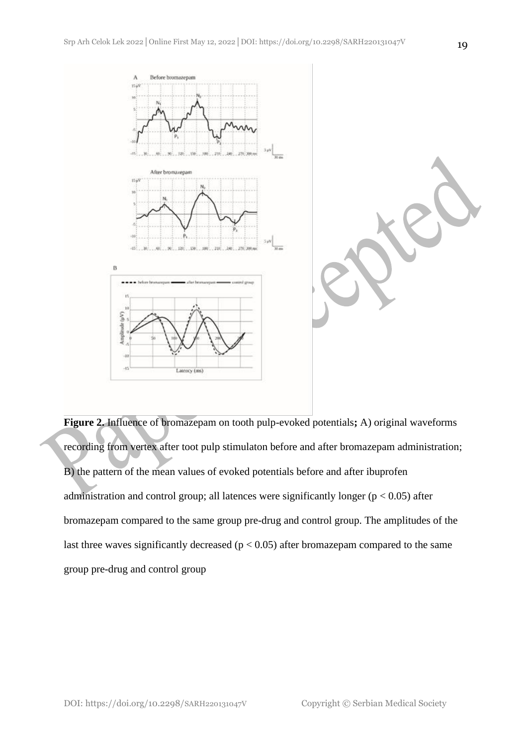

**Figure 2.** Influence of bromazepam on tooth pulp-evoked potentials**;** A) original waveforms recording from vertex after toot pulp stimulaton before and after bromazepam administration; B) the pattern of the mean values of evoked potentials before and after ibuprofen administration and control group; all latences were significantly longer ( $p < 0.05$ ) after bromazepam compared to the same group pre-drug and control group. The amplitudes of the last three waves significantly decreased ( $p < 0.05$ ) after bromazepam compared to the same group pre-drug and control group

DOI: https://doi.org/10.2298/SARH220131047V Copyright © Serbian Medical Society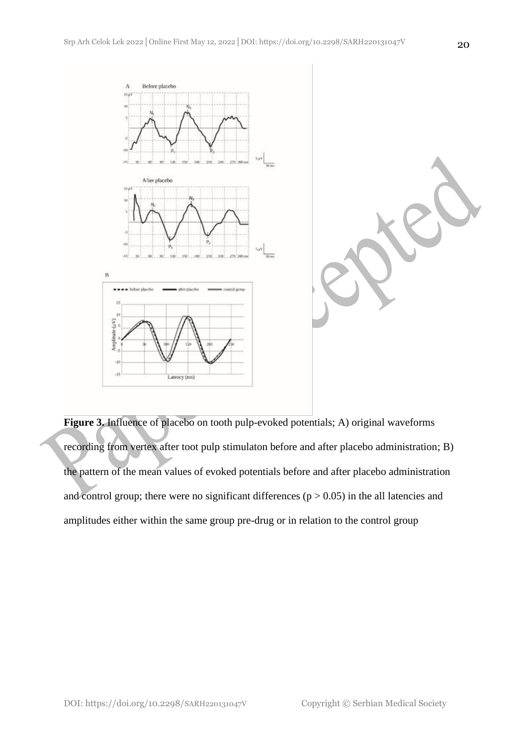

**Figure 3.** Influence of placebo on tooth pulp-evoked potentials; A) original waveforms recording from vertex after toot pulp stimulaton before and after placebo administration; B) the pattern of the mean values of evoked potentials before and after placebo administration and control group; there were no significant differences  $(p > 0.05)$  in the all latencies and amplitudes either within the same group pre-drug or in relation to the control group